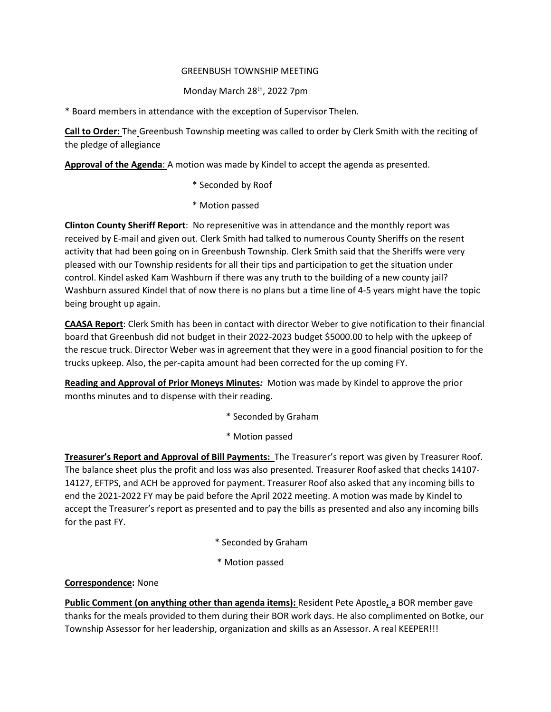### GREENBUSH TOWNSHIP MEETING

# Monday March 28<sup>th</sup>, 2022 7pm

\* Board members in attendance with the exception of Supervisor Thelen.

**Call to Order:** The Greenbush Township meeting was called to order by Clerk Smith with the reciting of the pledge of allegiance

**Approval of the Agenda**: A motion was made by Kindel to accept the agenda as presented.

- \* Seconded by Roof
- \* Motion passed

**Clinton County Sheriff Report**: No represenitive was in attendance and the monthly report was received by E-mail and given out. Clerk Smith had talked to numerous County Sheriffs on the resent activity that had been going on in Greenbush Township. Clerk Smith said that the Sheriffs were very pleased with our Township residents for all their tips and participation to get the situation under control. Kindel asked Kam Washburn if there was any truth to the building of a new county jail? Washburn assured Kindel that of now there is no plans but a time line of 4-5 years might have the topic being brought up again.

**CAASA Report**: Clerk Smith has been in contact with director Weber to give notification to their financial board that Greenbush did not budget in their 2022-2023 budget \$5000.00 to help with the upkeep of the rescue truck. Director Weber was in agreement that they were in a good financial position to for the trucks upkeep. Also, the per-capita amount had been corrected for the up coming FY.

**Reading and Approval of Prior Moneys Minutes***:* Motion was made by Kindel to approve the prior months minutes and to dispense with their reading.

- \* Seconded by Graham
- \* Motion passed

**Treasurer's Report and Approval of Bill Payments:** The Treasurer's report was given by Treasurer Roof. The balance sheet plus the profit and loss was also presented. Treasurer Roof asked that checks 14107- 14127, EFTPS, and ACH be approved for payment. Treasurer Roof also asked that any incoming bills to end the 2021-2022 FY may be paid before the April 2022 meeting. A motion was made by Kindel to accept the Treasurer's report as presented and to pay the bills as presented and also any incoming bills for the past FY.

- \* Seconded by Graham
- \* Motion passed

#### **Correspondence:** None

**Public Comment (on anything other than agenda items):** Resident Pete Apostle**,** a BOR member gave thanks for the meals provided to them during their BOR work days. He also complimented on Botke, our Township Assessor for her leadership, organization and skills as an Assessor. A real KEEPER!!!